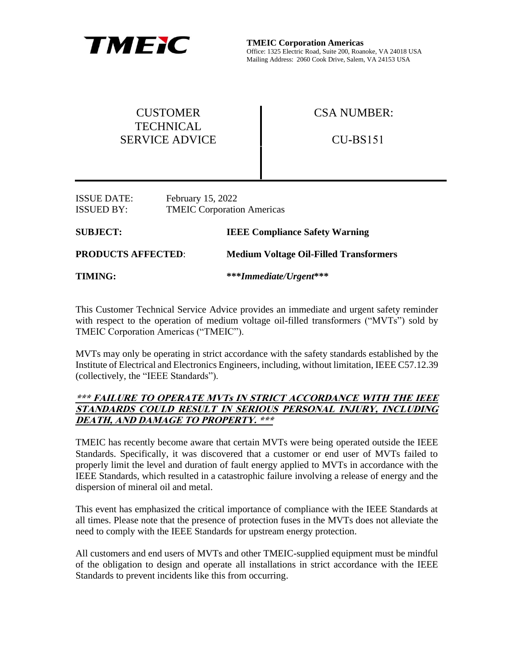

**TMEIC Corporation Americas** Office: 1325 Electric Road, Suite 200, Roanoke, VA 24018 USA Mailing Address: 2060 Cook Drive, Salem, VA 24153 USA

| <b>CUSTOMER</b><br><b>TECHNICAL</b>                                                               |  | <b>CSA NUMBER:</b>                            |  |
|---------------------------------------------------------------------------------------------------|--|-----------------------------------------------|--|
| <b>SERVICE ADVICE</b>                                                                             |  | $CU-BS151$                                    |  |
| <b>ISSUE DATE:</b><br>February 15, 2022<br><b>TMEIC Corporation Americas</b><br><b>ISSUED BY:</b> |  |                                               |  |
| <b>SUBJECT:</b>                                                                                   |  | <b>IEEE Compliance Safety Warning</b>         |  |
| <b>PRODUCTS AFFECTED:</b>                                                                         |  | <b>Medium Voltage Oil-Filled Transformers</b> |  |
| <b>TIMING:</b>                                                                                    |  | ***Immediate/Urgent***                        |  |

This Customer Technical Service Advice provides an immediate and urgent safety reminder with respect to the operation of medium voltage oil-filled transformers ("MVTs") sold by TMEIC Corporation Americas ("TMEIC").

MVTs may only be operating in strict accordance with the safety standards established by the Institute of Electrical and Electronics Engineers, including, without limitation, IEEE C57.12.39 (collectively, the "IEEE Standards").

## **\*\*\* FAILURE TO OPERATE MVTs IN STRICT ACCORDANCE WITH THE IEEE STANDARDS COULD RESULT IN SERIOUS PERSONAL INJURY, INCLUDING DEATH, AND DAMAGE TO PROPERTY. \*\*\***

TMEIC has recently become aware that certain MVTs were being operated outside the IEEE Standards. Specifically, it was discovered that a customer or end user of MVTs failed to properly limit the level and duration of fault energy applied to MVTs in accordance with the IEEE Standards, which resulted in a catastrophic failure involving a release of energy and the dispersion of mineral oil and metal.

This event has emphasized the critical importance of compliance with the IEEE Standards at all times. Please note that the presence of protection fuses in the MVTs does not alleviate the need to comply with the IEEE Standards for upstream energy protection.

All customers and end users of MVTs and other TMEIC-supplied equipment must be mindful of the obligation to design and operate all installations in strict accordance with the IEEE Standards to prevent incidents like this from occurring.